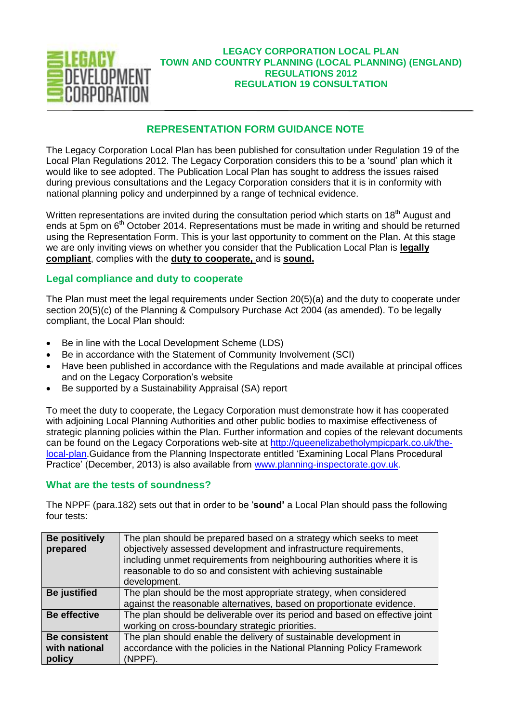

## **LEGACY CORPORATION LOCAL PLAN TOWN AND COUNTRY PLANNING (LOCAL PLANNING) (ENGLAND) REGULATIONS 2012 REGULATION 19 CONSULTATION**

# **REPRESENTATION FORM GUIDANCE NOTE**

The Legacy Corporation Local Plan has been published for consultation under Regulation 19 of the Local Plan Regulations 2012. The Legacy Corporation considers this to be a 'sound' plan which it would like to see adopted. The Publication Local Plan has sought to address the issues raised during previous consultations and the Legacy Corporation considers that it is in conformity with national planning policy and underpinned by a range of technical evidence.

Written representations are invited during the consultation period which starts on 18<sup>th</sup> August and ends at 5pm on 6<sup>th</sup> October 2014. Representations must be made in writing and should be returned using the Representation Form. This is your last opportunity to comment on the Plan. At this stage we are only inviting views on whether you consider that the Publication Local Plan is **legally compliant**, complies with the **duty to cooperate,** and is **sound.**

## **Legal compliance and duty to cooperate**

The Plan must meet the legal requirements under Section 20(5)(a) and the duty to cooperate under section 20(5)(c) of the Planning & Compulsory Purchase Act 2004 (as amended). To be legally compliant, the Local Plan should:

- Be in line with the Local Development Scheme (LDS)
- Be in accordance with the Statement of Community Involvement (SCI)
- Have been published in accordance with the Regulations and made available at principal offices and on the Legacy Corporation's website
- Be supported by a Sustainability Appraisal (SA) report

To meet the duty to cooperate, the Legacy Corporation must demonstrate how it has cooperated with adjoining Local Planning Authorities and other public bodies to maximise effectiveness of strategic planning policies within the Plan. Further information and copies of the relevant documents can be found on the Legacy Corporations web-site at [http://queenelizabetholympicpark.co.uk/the](http://queenelizabetholympicpark.co.uk/the-local-plan)[local-plan.](http://queenelizabetholympicpark.co.uk/the-local-plan)Guidance from the Planning Inspectorate entitled 'Examining Local Plans Procedural Practice' (December, 2013) is also available from [www.planning-inspectorate.gov.uk.](http://www.planning-inspectorate.gov.uk/)

## **What are the tests of soundness?**

The NPPF (para.182) sets out that in order to be '**sound'** a Local Plan should pass the following four tests:

| <b>Be positively</b><br>prepared                | The plan should be prepared based on a strategy which seeks to meet<br>objectively assessed development and infrastructure requirements,<br>including unmet requirements from neighbouring authorities where it is<br>reasonable to do so and consistent with achieving sustainable<br>development. |
|-------------------------------------------------|-----------------------------------------------------------------------------------------------------------------------------------------------------------------------------------------------------------------------------------------------------------------------------------------------------|
| <b>Be</b> justified                             | The plan should be the most appropriate strategy, when considered<br>against the reasonable alternatives, based on proportionate evidence.                                                                                                                                                          |
| <b>Be effective</b>                             | The plan should be deliverable over its period and based on effective joint<br>working on cross-boundary strategic priorities.                                                                                                                                                                      |
| <b>Be consistent</b><br>with national<br>policy | The plan should enable the delivery of sustainable development in<br>accordance with the policies in the National Planning Policy Framework<br>(NPPF).                                                                                                                                              |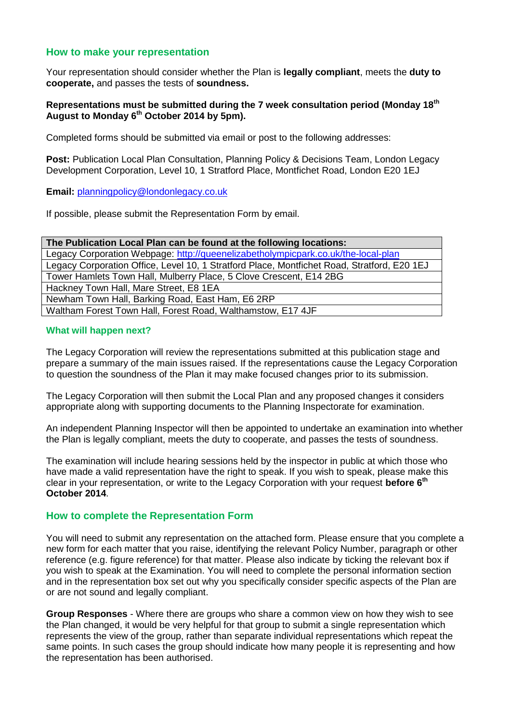## **How to make your representation**

Your representation should consider whether the Plan is **legally compliant**, meets the **duty to cooperate,** and passes the tests of **soundness.** 

### **Representations must be submitted during the 7 week consultation period (Monday 18th August to Monday 6th October 2014 by 5pm).**

Completed forms should be submitted via email or post to the following addresses:

**Post:** Publication Local Plan Consultation, Planning Policy & Decisions Team, London Legacy Development Corporation, Level 10, 1 Stratford Place, Montfichet Road, London E20 1EJ

### **Email:** [planningpolicy@londonlegacy.co.uk](mailto:planningpolicy@londonlegacy.co.uk)

If possible, please submit the Representation Form by email.

| The Publication Local Plan can be found at the following locations:                         |  |  |
|---------------------------------------------------------------------------------------------|--|--|
| Legacy Corporation Webpage: http://queenelizabetholympicpark.co.uk/the-local-plan           |  |  |
| Legacy Corporation Office, Level 10, 1 Stratford Place, Montfichet Road, Stratford, E20 1EJ |  |  |
| Tower Hamlets Town Hall, Mulberry Place, 5 Clove Crescent, E14 2BG                          |  |  |
| Hackney Town Hall, Mare Street, E8 1EA                                                      |  |  |
| Newham Town Hall, Barking Road, East Ham, E6 2RP                                            |  |  |
| Waltham Forest Town Hall, Forest Road, Walthamstow, E17 4JF                                 |  |  |

### **What will happen next?**

The Legacy Corporation will review the representations submitted at this publication stage and prepare a summary of the main issues raised. If the representations cause the Legacy Corporation to question the soundness of the Plan it may make focused changes prior to its submission.

The Legacy Corporation will then submit the Local Plan and any proposed changes it considers appropriate along with supporting documents to the Planning Inspectorate for examination.

An independent Planning Inspector will then be appointed to undertake an examination into whether the Plan is legally compliant, meets the duty to cooperate, and passes the tests of soundness.

The examination will include hearing sessions held by the inspector in public at which those who have made a valid representation have the right to speak. If you wish to speak, please make this clear in your representation, or write to the Legacy Corporation with your request **before 6th October 2014**.

### **How to complete the Representation Form**

You will need to submit any representation on the attached form. Please ensure that you complete a new form for each matter that you raise, identifying the relevant Policy Number, paragraph or other reference (e.g. figure reference) for that matter. Please also indicate by ticking the relevant box if you wish to speak at the Examination. You will need to complete the personal information section and in the representation box set out why you specifically consider specific aspects of the Plan are or are not sound and legally compliant.

**Group Responses** - Where there are groups who share a common view on how they wish to see the Plan changed, it would be very helpful for that group to submit a single representation which represents the view of the group, rather than separate individual representations which repeat the same points. In such cases the group should indicate how many people it is representing and how the representation has been authorised.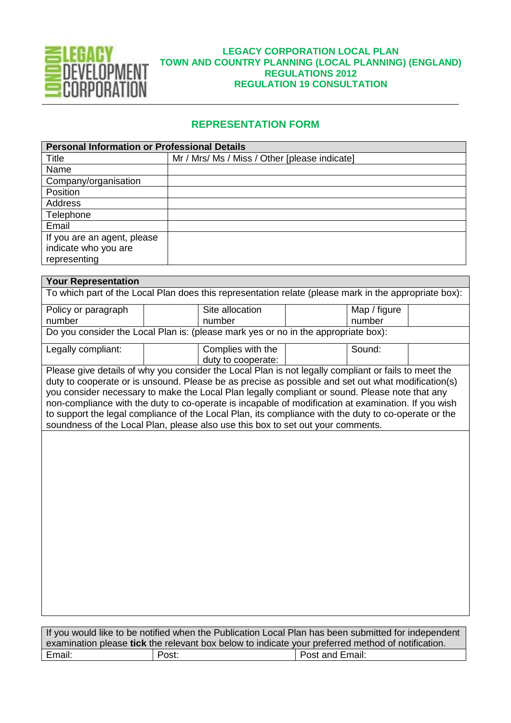

## **LEGACY CORPORATION LOCAL PLAN TOWN AND COUNTRY PLANNING (LOCAL PLANNING) (ENGLAND) REGULATIONS 2012 REGULATION 19 CONSULTATION**

## **REPRESENTATION FORM**

| <b>Personal Information or Professional Details</b> |                                               |  |
|-----------------------------------------------------|-----------------------------------------------|--|
| Title                                               | Mr / Mrs/ Ms / Miss / Other [please indicate] |  |
| Name                                                |                                               |  |
| Company/organisation                                |                                               |  |
| Position                                            |                                               |  |
| Address                                             |                                               |  |
| Telephone                                           |                                               |  |
| Email                                               |                                               |  |
| If you are an agent, please                         |                                               |  |
| indicate who you are                                |                                               |  |
| representing                                        |                                               |  |

#### **Your Representation**

To which part of the Local Plan does this representation relate (please mark in the appropriate box):

| Policy or paragraph | Site allocation                                                                    | Map / figure |  |
|---------------------|------------------------------------------------------------------------------------|--------------|--|
| number              | number                                                                             | number       |  |
|                     | Do you consider the Local Plan is: (please mark yes or no in the appropriate box): |              |  |

| Legally compliant: | Complies with the  | Sound: |  |
|--------------------|--------------------|--------|--|
|                    | duty to cooperate: |        |  |

Please give details of why you consider the Local Plan is not legally compliant or fails to meet the duty to cooperate or is unsound. Please be as precise as possible and set out what modification(s) you consider necessary to make the Local Plan legally compliant or sound. Please note that any non-compliance with the duty to co-operate is incapable of modification at examination. If you wish to support the legal compliance of the Local Plan, its compliance with the duty to co-operate or the soundness of the Local Plan, please also use this box to set out your comments.

If you would like to be notified when the Publication Local Plan has been submitted for independent examination please **tick** the relevant box below to indicate your preferred method of notification. Email: Post: Post: Post: Post and Email: